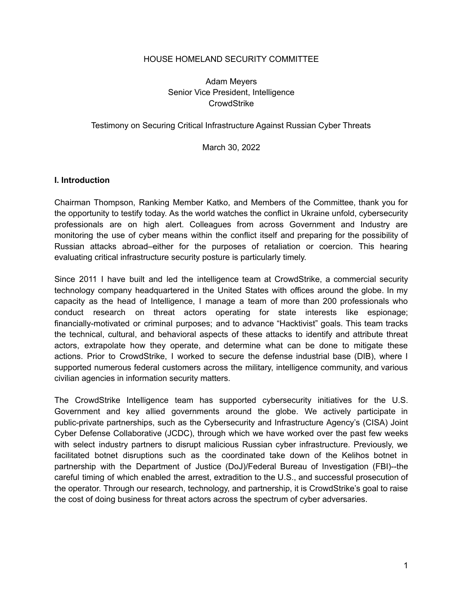#### HOUSE HOMELAND SECURITY COMMITTEE

### Adam Meyers Senior Vice President, Intelligence **CrowdStrike**

#### Testimony on Securing Critical Infrastructure Against Russian Cyber Threats

#### March 30, 2022

#### **I. Introduction**

Chairman Thompson, Ranking Member Katko, and Members of the Committee, thank you for the opportunity to testify today. As the world watches the conflict in Ukraine unfold, cybersecurity professionals are on high alert. Colleagues from across Government and Industry are monitoring the use of cyber means within the conflict itself and preparing for the possibility of Russian attacks abroad–either for the purposes of retaliation or coercion. This hearing evaluating critical infrastructure security posture is particularly timely.

Since 2011 I have built and led the intelligence team at CrowdStrike, a commercial security technology company headquartered in the United States with offices around the globe. In my capacity as the head of Intelligence, I manage a team of more than 200 professionals who conduct research on threat actors operating for state interests like espionage; financially-motivated or criminal purposes; and to advance "Hacktivist" goals. This team tracks the technical, cultural, and behavioral aspects of these attacks to identify and attribute threat actors, extrapolate how they operate, and determine what can be done to mitigate these actions. Prior to CrowdStrike, I worked to secure the defense industrial base (DIB), where I supported numerous federal customers across the military, intelligence community, and various civilian agencies in information security matters.

The CrowdStrike Intelligence team has supported cybersecurity initiatives for the U.S. Government and key allied governments around the globe. We actively participate in public-private partnerships, such as the Cybersecurity and Infrastructure Agency's (CISA) Joint Cyber Defense Collaborative (JCDC), through which we have worked over the past few weeks with select industry partners to disrupt malicious Russian cyber infrastructure. Previously, we facilitated botnet disruptions such as the coordinated take down of the Kelihos botnet in partnership with the Department of Justice (DoJ)/Federal Bureau of Investigation (FBI)--the careful timing of which enabled the arrest, extradition to the U.S., and successful prosecution of the operator. Through our research, technology, and partnership, it is CrowdStrike's goal to raise the cost of doing business for threat actors across the spectrum of cyber adversaries.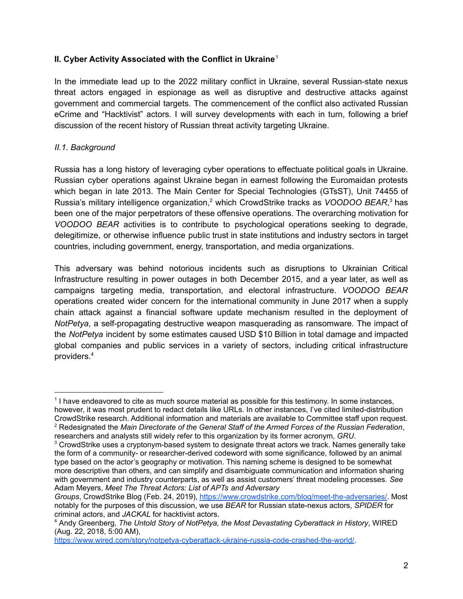## **II. Cyber Activity Associated with the Conflict in Ukraine** 1

In the immediate lead up to the 2022 military conflict in Ukraine, several Russian-state nexus threat actors engaged in espionage as well as disruptive and destructive attacks against government and commercial targets. The commencement of the conflict also activated Russian eCrime and "Hacktivist" actors. I will survey developments with each in turn, following a brief discussion of the recent history of Russian threat activity targeting Ukraine.

## *II.1. Background*

Russia has a long history of leveraging cyber operations to effectuate political goals in Ukraine. Russian cyber operations against Ukraine began in earnest following the Euromaidan protests which began in late 2013. The Main Center for Special Technologies (GTsST), Unit 74455 of Russia's military intelligence organization, <sup>2</sup> which CrowdStrike tracks as *VOODOO BEAR*, <sup>3</sup> has been one of the major perpetrators of these offensive operations. The overarching motivation for *VOODOO BEAR* activities is to contribute to psychological operations seeking to degrade, delegitimize, or otherwise influence public trust in state institutions and industry sectors in target countries, including government, energy, transportation, and media organizations.

This adversary was behind notorious incidents such as disruptions to Ukrainian Critical Infrastructure resulting in power outages in both December 2015, and a year later, as well as campaigns targeting media, transportation, and electoral infrastructure. *VOODOO BEAR* operations created wider concern for the international community in June 2017 when a supply chain attack against a financial software update mechanism resulted in the deployment of *NotPetya*, a self-propagating destructive weapon masquerading as ransomware. The impact of the *NotPetya* incident by some estimates caused USD \$10 Billion in total damage and impacted global companies and public services in a variety of sectors, including critical infrastructure providers. 4

<sup>2</sup> Redesignated the *Main Directorate of the General Staff of the Armed Forces of the Russian Federation*, researchers and analysts still widely refer to this organization by its former acronym, *GRU*. 1 I have endeavored to cite as much source material as possible for this testimony. In some instances, however, it was most prudent to redact details like URLs. In other instances, I've cited limited-distribution CrowdStrike research. Additional information and materials are available to Committee staff upon request.

<sup>&</sup>lt;sup>3</sup> CrowdStrike uses a cryptonym-based system to designate threat actors we track. Names generally take the form of a community- or researcher-derived codeword with some significance, followed by an animal type based on the actor's geography or motivation. This naming scheme is designed to be somewhat more descriptive than others, and can simplify and disambiguate communication and information sharing with government and industry counterparts, as well as assist customers' threat modeling processes. *See* Adam Meyers, *Meet The Threat Actors: List of APTs and Adversary*

*Groups*, CrowdStrike Blog (Feb. 24, 2019), <https://www.crowdstrike.com/blog/meet-the-adversaries/>. Most notably for the purposes of this discussion, we use *BEAR* for Russian state-nexus actors, *SPIDER* for criminal actors, and *JACKAL* for hacktivist actors.

<sup>4</sup> Andy Greenberg, *The Untold Story of NotPetya, the Most Devastating Cyberattack in History*, WIRED (Aug. 22, 2018, 5:00 AM),

[https://www.wired.com/story/notpetya-cyberattack-ukraine-russia-code-crashed-the-world/.](https://www.wired.com/story/notpetya-cyberattack-ukraine-russia-code-crashed-the-world/)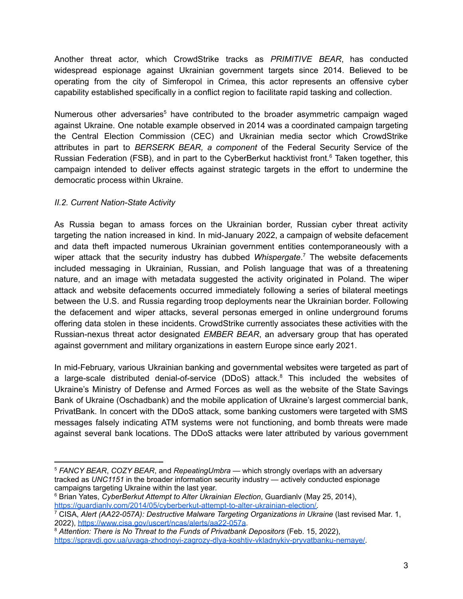Another threat actor, which CrowdStrike tracks as *PRIMITIVE BEAR*, has conducted widespread espionage against Ukrainian government targets since 2014. Believed to be operating from the city of Simferopol in Crimea, this actor represents an offensive cyber capability established specifically in a conflict region to facilitate rapid tasking and collection.

Numerous other adversaries<sup>5</sup> have contributed to the broader asymmetric campaign waged against Ukraine. One notable example observed in 2014 was a coordinated campaign targeting the Central Election Commission (CEC) and Ukrainian media sector which CrowdStrike attributes in part to *BERSERK BEAR, a component* of the Federal Security Service of the Russian Federation (FSB), and in part to the CyberBerkut hacktivist front. <sup>6</sup> Taken together, this campaign intended to deliver effects against strategic targets in the effort to undermine the democratic process within Ukraine.

## *II.2. Current Nation-State Activity*

As Russia began to amass forces on the Ukrainian border, Russian cyber threat activity targeting the nation increased in kind. In mid-January 2022, a campaign of website defacement and data theft impacted numerous Ukrainian government entities contemporaneously with a wiper attack that the security industry has dubbed *Whispergate*. <sup>7</sup> The website defacements included messaging in Ukrainian, Russian, and Polish language that was of a threatening nature, and an image with metadata suggested the activity originated in Poland. The wiper attack and website defacements occurred immediately following a series of bilateral meetings between the U.S. and Russia regarding troop deployments near the Ukrainian border. Following the defacement and wiper attacks, several personas emerged in online underground forums offering data stolen in these incidents. CrowdStrike currently associates these activities with the Russian-nexus threat actor designated *EMBER BEAR*, an adversary group that has operated against government and military organizations in eastern Europe since early 2021.

In mid-February, various Ukrainian banking and governmental websites were targeted as part of a large-scale distributed denial-of-service (DDoS) attack. <sup>8</sup> This included the websites of Ukraine's Ministry of Defense and Armed Forces as well as the website of the State Savings Bank of Ukraine (Oschadbank) and the mobile application of Ukraine's largest commercial bank, PrivatBank. In concert with the DDoS attack, some banking customers were targeted with SMS messages falsely indicating ATM systems were not functioning, and bomb threats were made against several bank locations. The DDoS attacks were later attributed by various government

<sup>5</sup> *FANCY BEAR*, *COZY BEAR*, and *RepeatingUmbra* — which strongly overlaps with an adversary tracked as *UNC1151* in the broader information security industry — actively conducted espionage campaigns targeting Ukraine within the last year.

<sup>6</sup> Brian Yates, *CyberBerkut Attempt to Alter Ukrainian Election*, Guardianlv (May 25, 2014), [https://guardianlv.com/2014/05/cyberberkut-attempt-to-alter-ukrainian-election/.](https://guardianlv.com/2014/05/cyberberkut-attempt-to-alter-ukrainian-election/)

<sup>7</sup> CISA, *Alert (AA22-057A): Destructive Malware Targeting Organizations in Ukraine* (last revised Mar. 1, 2022), <https://www.cisa.gov/uscert/ncas/alerts/aa22-057a>.

<sup>8</sup> *Attention: There is No Threat to the Funds of Privatbank Depositors* (Feb. 15, 2022), [https://spravdi.gov.ua/uvaga-zhodnoyi-zagrozy-dlya-koshtiv-vkladnykiv-pryvatbanku-nemaye/.](https://spravdi.gov.ua/uvaga-zhodnoyi-zagrozy-dlya-koshtiv-vkladnykiv-pryvatbanku-nemaye/)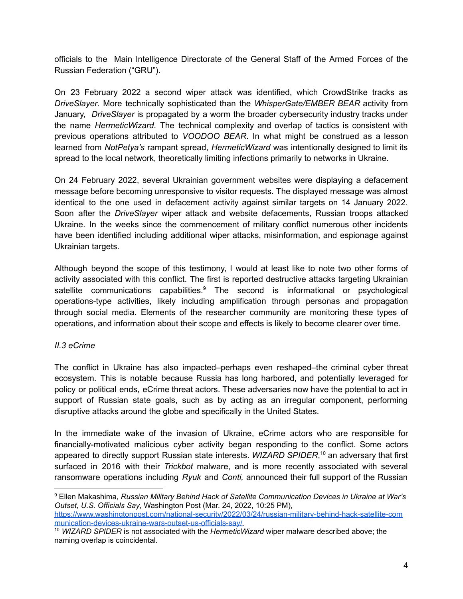officials to the Main Intelligence Directorate of the General Staff of the Armed Forces of the Russian Federation ("GRU").

On 23 February 2022 a second wiper attack was identified, which CrowdStrike tracks as *DriveSlayer*. More technically sophisticated than the *WhisperGate/EMBER BEAR* activity from January, *DriveSlayer* is propagated by a worm the broader cybersecurity industry tracks under the name *HermeticWizard*. The technical complexity and overlap of tactics is consistent with previous operations attributed to *VOODOO BEAR*. In what might be construed as a lesson learned from *NotPetya's* rampant spread, *HermeticWizard* was intentionally designed to limit its spread to the local network, theoretically limiting infections primarily to networks in Ukraine.

On 24 February 2022, several Ukrainian government websites were displaying a defacement message before becoming unresponsive to visitor requests. The displayed message was almost identical to the one used in defacement activity against similar targets on 14 January 2022. Soon after the *DriveSlayer* wiper attack and website defacements, Russian troops attacked Ukraine. In the weeks since the commencement of military conflict numerous other incidents have been identified including additional wiper attacks, misinformation, and espionage against Ukrainian targets.

Although beyond the scope of this testimony, I would at least like to note two other forms of activity associated with this conflict. The first is reported destructive attacks targeting Ukrainian satellite communications capabilities.<sup>9</sup> The second is informational or psychological operations-type activities, likely including amplification through personas and propagation through social media. Elements of the researcher community are monitoring these types of operations, and information about their scope and effects is likely to become clearer over time.

#### *II.3 eCrime*

The conflict in Ukraine has also impacted–perhaps even reshaped–the criminal cyber threat ecosystem. This is notable because Russia has long harbored, and potentially leveraged for policy or political ends, eCrime threat actors. These adversaries now have the potential to act in support of Russian state goals, such as by acting as an irregular component, performing disruptive attacks around the globe and specifically in the United States.

In the immediate wake of the invasion of Ukraine, eCrime actors who are responsible for financially-motivated malicious cyber activity began responding to the conflict. Some actors appeared to directly support Russian state interests. *WIZARD SPIDER*, <sup>10</sup> an adversary that first surfaced in 2016 with their *Trickbot* malware, and is more recently associated with several ransomware operations including *Ryuk* and *Conti,* announced their full support of the Russian

<sup>9</sup> Ellen Makashima, *Russian Military Behind Hack of Satellite Communication Devices in Ukraine at War's Outset, U.S. Officials Say*, Washington Post (Mar. 24, 2022, 10:25 PM), [https://www.washingtonpost.com/national-security/2022/03/24/russian-military-behind-hack-satellite-com](https://www.washingtonpost.com/national-security/2022/03/24/russian-military-behind-hack-satellite-communication-devices-ukraine-wars-outset-us-officials-say/) [munication-devices-ukraine-wars-outset-us-officials-say/.](https://www.washingtonpost.com/national-security/2022/03/24/russian-military-behind-hack-satellite-communication-devices-ukraine-wars-outset-us-officials-say/)

<sup>10</sup> *WIZARD SPIDER* is not associated with the *HermeticWizard* wiper malware described above; the naming overlap is coincidental.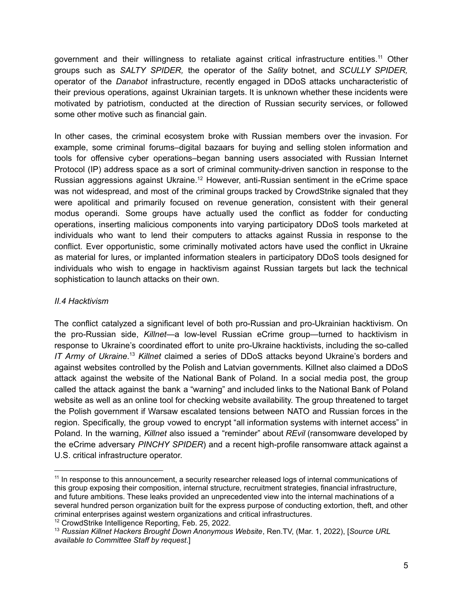government and their willingness to retaliate against critical infrastructure entities.<sup>11</sup> Other groups such as *SALTY SPIDER,* the operator of the *Sality* botnet, and *SCULLY SPIDER,* operator of the *Danabot* infrastructure, recently engaged in DDoS attacks uncharacteristic of their previous operations, against Ukrainian targets. It is unknown whether these incidents were motivated by patriotism, conducted at the direction of Russian security services, or followed some other motive such as financial gain.

In other cases, the criminal ecosystem broke with Russian members over the invasion. For example, some criminal forums–digital bazaars for buying and selling stolen information and tools for offensive cyber operations–began banning users associated with Russian Internet Protocol (IP) address space as a sort of criminal community-driven sanction in response to the Russian aggressions against Ukraine.<sup>12</sup> However, anti-Russian sentiment in the eCrime space was not widespread, and most of the criminal groups tracked by CrowdStrike signaled that they were apolitical and primarily focused on revenue generation, consistent with their general modus operandi. Some groups have actually used the conflict as fodder for conducting operations, inserting malicious components into varying participatory DDoS tools marketed at individuals who want to lend their computers to attacks against Russia in response to the conflict. Ever opportunistic, some criminally motivated actors have used the conflict in Ukraine as material for lures, or implanted information stealers in participatory DDoS tools designed for individuals who wish to engage in hacktivism against Russian targets but lack the technical sophistication to launch attacks on their own.

## *II.4 Hacktivism*

The conflict catalyzed a significant level of both pro-Russian and pro-Ukrainian hacktivism. On the pro-Russian side, *Killnet*—a low-level Russian eCrime group—turned to hacktivism in response to Ukraine's coordinated effort to unite pro-Ukraine hacktivists, including the so-called *IT Army of Ukraine*. <sup>13</sup> *Killnet* claimed a series of DDoS attacks beyond Ukraine's borders and against websites controlled by the Polish and Latvian governments. Killnet also claimed a DDoS attack against the website of the National Bank of Poland. In a social media post, the group called the attack against the bank a "warning" and included links to the National Bank of Poland website as well as an online tool for checking website availability. The group threatened to target the Polish government if Warsaw escalated tensions between NATO and Russian forces in the region. Specifically, the group vowed to encrypt "all information systems with internet access" in Poland. In the warning, *Killnet* also issued a "reminder" about *REvil* (ransomware developed by the eCrime adversary *PINCHY SPIDER*) and a recent high-profile ransomware attack against a U.S. critical infrastructure operator.

<sup>&</sup>lt;sup>11</sup> In response to this announcement, a security researcher released logs of internal communications of this group exposing their composition, internal structure, recruitment strategies, financial infrastructure, and future ambitions. These leaks provided an unprecedented view into the internal machinations of a several hundred person organization built for the express purpose of conducting extortion, theft, and other criminal enterprises against western organizations and critical infrastructures.

<sup>12</sup> CrowdStrike Intelligence Reporting, Feb. 25, 2022.

<sup>13</sup> *Russian Killnet Hackers Brought Down Anonymous Website*, Ren.TV, (Mar. 1, 2022), [*Source URL available to Committee Staff by request*.]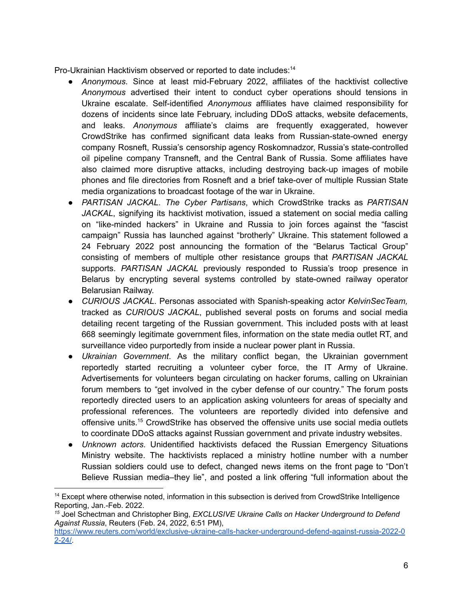Pro-Ukrainian Hacktivism observed or reported to date includes: 14

- *Anonymous*. Since at least mid-February 2022, affiliates of the hacktivist collective *Anonymous* advertised their intent to conduct cyber operations should tensions in Ukraine escalate. Self-identified *Anonymous* affiliates have claimed responsibility for dozens of incidents since late February, including DDoS attacks, website defacements, and leaks. *Anonymous* affiliate's claims are frequently exaggerated, however CrowdStrike has confirmed significant data leaks from Russian-state-owned energy company Rosneft, Russia's censorship agency Roskomnadzor, Russia's state-controlled oil pipeline company Transneft, and the Central Bank of Russia. Some affiliates have also claimed more disruptive attacks, including destroying back-up images of mobile phones and file directories from Rosneft and a brief take-over of multiple Russian State media organizations to broadcast footage of the war in Ukraine.
- *PARTISAN JACKAL*. *The Cyber Partisans*, which CrowdStrike tracks as *PARTISAN JACKAL*, signifying its hacktivist motivation, issued a statement on social media calling on "like-minded hackers" in Ukraine and Russia to join forces against the "fascist campaign" Russia has launched against "brotherly" Ukraine. This statement followed a 24 February 2022 post announcing the formation of the "Belarus Tactical Group" consisting of members of multiple other resistance groups that *PARTISAN JACKAL* supports. *PARTISAN JACKAL* previously responded to Russia's troop presence in Belarus by encrypting several systems controlled by state-owned railway operator Belarusian Railway.
- *CURIOUS JACKAL*. Personas associated with Spanish-speaking actor *KelvinSecTeam,* tracked as *CURIOUS JACKAL*, published several posts on forums and social media detailing recent targeting of the Russian government. This included posts with at least 668 seemingly legitimate government files, information on the state media outlet RT, and surveillance video purportedly from inside a nuclear power plant in Russia.
- *Ukrainian Government*. As the military conflict began, the Ukrainian government reportedly started recruiting a volunteer cyber force, the IT Army of Ukraine. Advertisements for volunteers began circulating on hacker forums, calling on Ukrainian forum members to "get involved in the cyber defense of our country." The forum posts reportedly directed users to an application asking volunteers for areas of specialty and professional references. The volunteers are reportedly divided into defensive and offensive units. <sup>15</sup> CrowdStrike has observed the offensive units use social media outlets to coordinate DDoS attacks against Russian government and private industry websites.
- *Unknown actors*. Unidentified hacktivists defaced the Russian Emergency Situations Ministry website. The hacktivists replaced a ministry hotline number with a number Russian soldiers could use to defect, changed news items on the front page to "Don't Believe Russian media–they lie", and posted a link offering "full information about the

<sup>&</sup>lt;sup>14</sup> Except where otherwise noted, information in this subsection is derived from CrowdStrike Intelligence Reporting, Jan.-Feb. 2022.

*<sup>15</sup>* Joel Schectman and Christopher Bing, *EXCLUSIVE Ukraine Calls on Hacker Underground to Defend Against Russia*, Reuters (Feb. 24, 2022, 6:51 PM),

[https://www.reuters.com/world/exclusive-ukraine-calls-hacker-underground-defend-against-russia-2022-0](https://www.reuters.com/world/exclusive-ukraine-calls-hacker-underground-defend-against-russia-2022-02-24/) [2-24/.](https://www.reuters.com/world/exclusive-ukraine-calls-hacker-underground-defend-against-russia-2022-02-24/)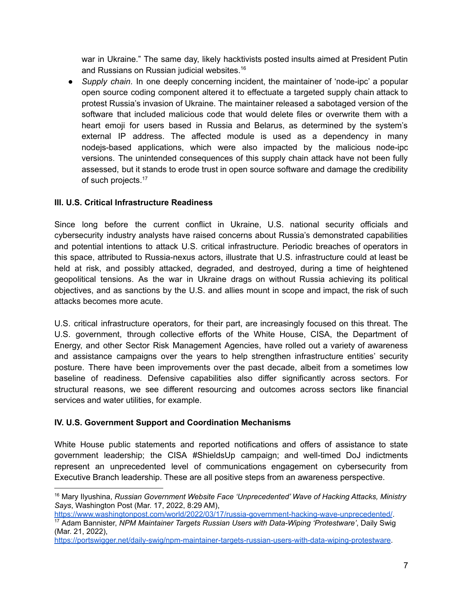war in Ukraine." The same day, likely hacktivists posted insults aimed at President Putin and Russians on Russian judicial websites. 16

● *Supply chain*. In one deeply concerning incident, the maintainer of 'node-ipc' a popular open source coding component altered it to effectuate a targeted supply chain attack to protest Russia's invasion of Ukraine. The maintainer released a sabotaged version of the software that included malicious code that would delete files or overwrite them with a heart emoji for users based in Russia and Belarus, as determined by the system's external IP address. The affected module is used as a dependency in many nodejs-based applications, which were also impacted by the malicious node-ipc versions. The unintended consequences of this supply chain attack have not been fully assessed, but it stands to erode trust in open source software and damage the credibility of such projects.<sup>17</sup>

# **III. U.S. Critical Infrastructure Readiness**

Since long before the current conflict in Ukraine, U.S. national security officials and cybersecurity industry analysts have raised concerns about Russia's demonstrated capabilities and potential intentions to attack U.S. critical infrastructure. Periodic breaches of operators in this space, attributed to Russia-nexus actors, illustrate that U.S. infrastructure could at least be held at risk, and possibly attacked, degraded, and destroyed, during a time of heightened geopolitical tensions. As the war in Ukraine drags on without Russia achieving its political objectives, and as sanctions by the U.S. and allies mount in scope and impact, the risk of such attacks becomes more acute.

U.S. critical infrastructure operators, for their part, are increasingly focused on this threat. The U.S. government, through collective efforts of the White House, CISA, the Department of Energy, and other Sector Risk Management Agencies, have rolled out a variety of awareness and assistance campaigns over the years to help strengthen infrastructure entities' security posture. There have been improvements over the past decade, albeit from a sometimes low baseline of readiness. Defensive capabilities also differ significantly across sectors. For structural reasons, we see different resourcing and outcomes across sectors like financial services and water utilities, for example.

# **IV. U.S. Government Support and Coordination Mechanisms**

White House public statements and reported notifications and offers of assistance to state government leadership; the CISA #ShieldsUp campaign; and well-timed DoJ indictments represent an unprecedented level of communications engagement on cybersecurity from Executive Branch leadership. These are all positive steps from an awareness perspective.

<https://www.washingtonpost.com/world/2022/03/17/russia-government-hacking-wave-unprecedented/>.

<sup>16</sup> Mary Ilyushina, *Russian Government Website Face 'Unprecedented' Wave of Hacking Attacks, Ministry Says*, Washington Post (Mar. 17, 2022, 8:29 AM),

<sup>17</sup> Adam Bannister, *NPM Maintainer Targets Russian Users with Data-Wiping 'Protestware'*, Daily Swig (Mar. 21, 2022),

<https://portswigger.net/daily-swig/npm-maintainer-targets-russian-users-with-data-wiping-protestware>.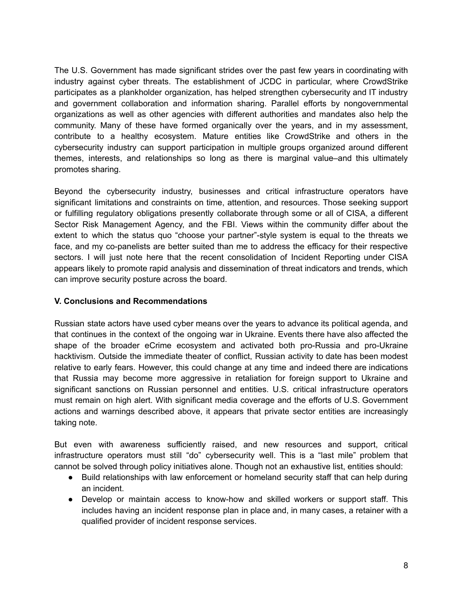The U.S. Government has made significant strides over the past few years in coordinating with industry against cyber threats. The establishment of JCDC in particular, where CrowdStrike participates as a plankholder organization, has helped strengthen cybersecurity and IT industry and government collaboration and information sharing. Parallel efforts by nongovernmental organizations as well as other agencies with different authorities and mandates also help the community. Many of these have formed organically over the years, and in my assessment, contribute to a healthy ecosystem. Mature entities like CrowdStrike and others in the cybersecurity industry can support participation in multiple groups organized around different themes, interests, and relationships so long as there is marginal value–and this ultimately promotes sharing.

Beyond the cybersecurity industry, businesses and critical infrastructure operators have significant limitations and constraints on time, attention, and resources. Those seeking support or fulfilling regulatory obligations presently collaborate through some or all of CISA, a different Sector Risk Management Agency, and the FBI. Views within the community differ about the extent to which the status quo "choose your partner"-style system is equal to the threats we face, and my co-panelists are better suited than me to address the efficacy for their respective sectors. I will just note here that the recent consolidation of Incident Reporting under CISA appears likely to promote rapid analysis and dissemination of threat indicators and trends, which can improve security posture across the board.

## **V. Conclusions and Recommendations**

Russian state actors have used cyber means over the years to advance its political agenda, and that continues in the context of the ongoing war in Ukraine. Events there have also affected the shape of the broader eCrime ecosystem and activated both pro-Russia and pro-Ukraine hacktivism. Outside the immediate theater of conflict, Russian activity to date has been modest relative to early fears. However, this could change at any time and indeed there are indications that Russia may become more aggressive in retaliation for foreign support to Ukraine and significant sanctions on Russian personnel and entities. U.S. critical infrastructure operators must remain on high alert. With significant media coverage and the efforts of U.S. Government actions and warnings described above, it appears that private sector entities are increasingly taking note.

But even with awareness sufficiently raised, and new resources and support, critical infrastructure operators must still "do" cybersecurity well. This is a "last mile" problem that cannot be solved through policy initiatives alone. Though not an exhaustive list, entities should:

- Build relationships with law enforcement or homeland security staff that can help during an incident.
- Develop or maintain access to know-how and skilled workers or support staff. This includes having an incident response plan in place and, in many cases, a retainer with a qualified provider of incident response services.